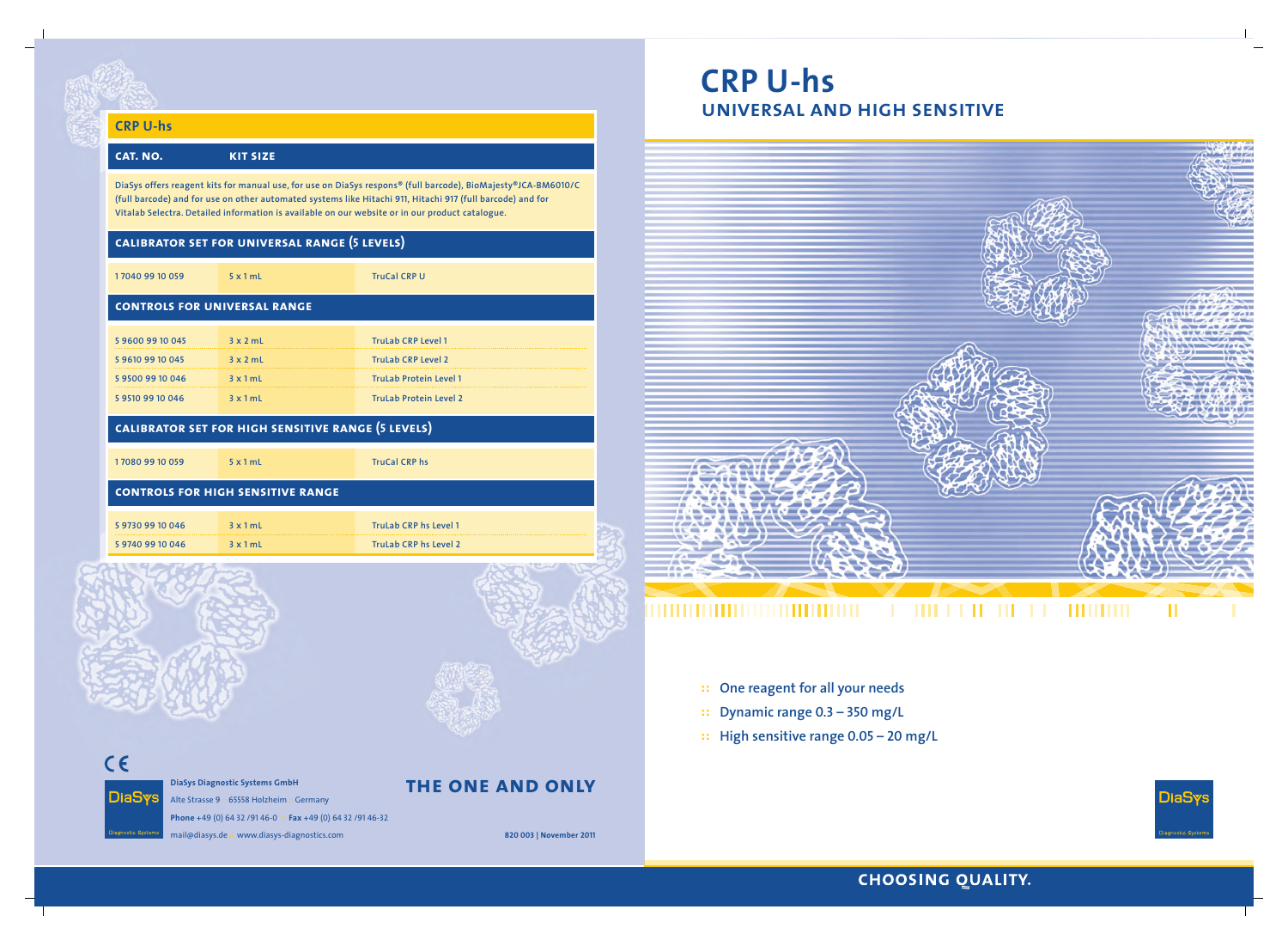- **:: One reagent for all your needs**
- **:: Dynamic range 0.3 350 mg/L**
- **:: High sensitive range 0.05 20 mg/L**

# **the one and only**



# **CRP U-hs cat. no. kit size DiaSys offers reagent kits for manual use, for use on DiaSys respons® (full barcode), BioMajesty®JCA-BM<sup>6010</sup>/C (full barcode) and for use on other automated systems like Hitachi <sup>911</sup>, Hitachi 917 (full barcode) and for Vitalab Selectra. Detailed information is available on our website or in our product catalogue. calibrator set for universal range (5 levels) 1 7040 99 10 059 5 x 1 mL TruCal CRP U controls for universal range 5 9600 99 10 045 3 x 2 mL TruLab CRP Level 1**

### **DiaSys Diagnostic Systems GmbH DiaSys**

| 5 9 6 10 9 9 10 0 45 | $3 \times 2$ mL | TruLab CRP Level 2            |
|----------------------|-----------------|-------------------------------|
| 595009910046         | 3x1mL           | <b>TruLab Protein Level 1</b> |
| 595109910046         | 3x1mL           | <b>TruLab Protein Level 2</b> |

# **calibrator set for high sensitive range (5 levels)**

**1 7080 99 10 059 5 x 1 mL TruCal CRP hs**

### **controls for high sensitive range**

| 5 9730 99 10 046 | 3x1mL           | TruLab CRP hs Level 1 |
|------------------|-----------------|-----------------------|
| 5 9740 99 10 046 | $3 \times 1$ mL | TruLab CRP hs Level 2 |



 $C \in$ 

Alte Strasse 9 :: 65558 Holzheim :: Germany **Phone** +49 (0) 64 32 /91 46-0 :: **Fax** +49 (0) 64 32 /91 46-32 mail@diasys.de :: www.diasys-diagnostics.com **820 003 | November <sup>2011</sup>**

# **CRP U-hs universal and high sensitive**